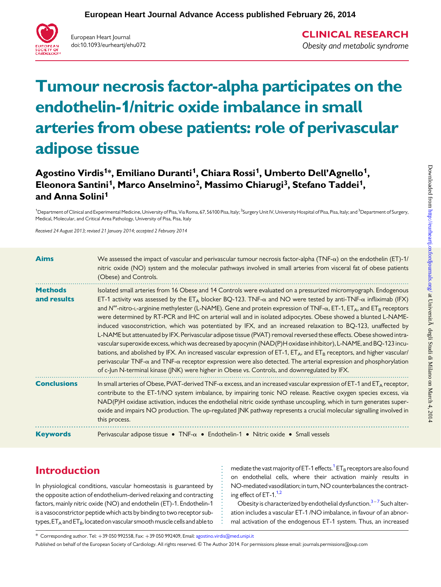

European Heart Journal doi:10.1093/eurheartj/ehu072 CLINICAL RESEARCH Obesity and metabolic syndrome

# Tumour necrosis factor-alpha participates on the endothelin-1/nitric oxide imbalance in small arteries from obese patients: role of perivascular adipose tissue

Agostino Virdis<sup>1\*</sup>, Emiliano Duranti<sup>1</sup>, Chiara Rossi<sup>1</sup>, Umberto Dell'Agnello<sup>1</sup>, Eleonora Santini<sup>1</sup>, Marco Anselmino<sup>2</sup>, Massimo Chiarugi<sup>3</sup>, Stefano Taddei<sup>1</sup>, and Anna Solini<sup>1</sup>

<sup>1</sup>Department of Clinical and Experimental Medicine, University of Pisa, Via Roma, 67, 56100 Pisa, Italy; <sup>2</sup>Surgery Unit IV, University Hospital of Pisa, Pisa, Italy; and <sup>3</sup>Department of Surgery. Medical, Molecular, and Critical Area Pathology, University of Pisa, Pisa, Italy

Received 24 August 2013; revised 21 January 2014; accepted 2 February 2014

| <b>Aims</b>                   | We assessed the impact of vascular and perivascular tumour necrosis factor-alpha (TNF- $\alpha$ ) on the endothelin (ET)-1/<br>nitric oxide (NO) system and the molecular pathways involved in small arteries from visceral fat of obese patients<br>(Obese) and Controls.                                                                                                                                                                                                                                                                                                                                                                                                                                                                                                                                                                                                                                                                                                                                                                                                                                                                                                                                                                                                                         |
|-------------------------------|----------------------------------------------------------------------------------------------------------------------------------------------------------------------------------------------------------------------------------------------------------------------------------------------------------------------------------------------------------------------------------------------------------------------------------------------------------------------------------------------------------------------------------------------------------------------------------------------------------------------------------------------------------------------------------------------------------------------------------------------------------------------------------------------------------------------------------------------------------------------------------------------------------------------------------------------------------------------------------------------------------------------------------------------------------------------------------------------------------------------------------------------------------------------------------------------------------------------------------------------------------------------------------------------------|
| <b>Methods</b><br>and results | Isolated small arteries from 16 Obese and 14 Controls were evaluated on a pressurized micromyograph. Endogenous<br>ET-1 activity was assessed by the ET <sub>A</sub> blocker BQ-123. TNF- $\alpha$ and NO were tested by anti-TNF- $\alpha$ infliximab (IFX)<br>and $N^{\omega}$ -nitro-L-arginine methylester (L-NAME). Gene and protein expression of TNF- $\alpha$ , ET-1, ET <sub>A</sub> , and ET <sub>B</sub> receptors<br>were determined by RT-PCR and IHC on arterial wall and in isolated adipocytes. Obese showed a blunted L-NAME-<br>induced vasoconstriction, which was potentiated by IFX, and an increased relaxation to BQ-123, unaffected by<br>L-NAME but attenuated by IFX. Perivascular adipose tissue (PVAT) removal reversed these effects. Obese showed intra-<br>vascular superoxide excess, which was decreased by apocynin (NAD(P)H oxidase inhibitor), L-NAME, and BQ-123 incu-<br>bations, and abolished by IFX. An increased vascular expression of ET-1, ET <sub>A</sub> , and ET <sub>B</sub> receptors, and higher vascular/<br>perivascular TNF- $\alpha$ and TNF- $\alpha$ receptor expression were also detected. The arterial expression and phosphorylation<br>of c-Jun N-terminal kinase (JNK) were higher in Obese vs. Controls, and downregulated by IFX. |
| <b>Conclusions</b>            | In small arteries of Obese, PVAT-derived TNF- $\alpha$ excess, and an increased vascular expression of ET-1 and ET <sub>A</sub> receptor,<br>contribute to the ET-1/NO system imbalance, by impairing tonic NO release. Reactive oxygen species excess, via<br>NAD(P)H oxidase activation, induces the endothelial nitric oxide synthase uncoupling, which in turn generates super-<br>oxide and impairs NO production. The up-regulated JNK pathway represents a crucial molecular signalling involved in<br>this process.                                                                                                                                                                                                                                                                                                                                                                                                                                                                                                                                                                                                                                                                                                                                                                        |
| <b>Keywords</b>               | Perivascular adipose tissue • $TNF-\alpha$ • Endothelin-1 • Nitric oxide • Small vessels                                                                                                                                                                                                                                                                                                                                                                                                                                                                                                                                                                                                                                                                                                                                                                                                                                                                                                                                                                                                                                                                                                                                                                                                           |

# Introduction

In physiological conditions, vascular homeostasis is guaranteed by the opposite action of endothelium-derived relaxing and contracting factors, mainly nitric oxide (NO) and endothelin (ET)-1. Endothelin-1 is a vasoconstrictor peptide which acts by binding to two receptor subtypes,  $ET_A$  and  $ET_B$ , located on vascular smooth muscle cells and able to

mediate the vast majority of ET-[1](#page-9-0) effects.<sup>1</sup> ET<sub>B</sub> receptors are also found on endothelial cells, where their activation mainly results in NO-mediated vasodilation; in turn, NO counterbalances the contracting effect of ET-1. $1,2$  $1,2$ 

Obesity is characterized by endothelial dysfunction. $3-7$  $3-7$  $3-7$  Such alteration includes a vascular ET-1 /NO imbalance, in favour of an abnormal activation of the endogenous ET-1 system. Thus, an increased

<sup>\*</sup> Corresponding author. Tel: +39 050 992558, Fax: +39 050 992409, Email: [agostino.virdis@med.unipi.it](mailto:agostino.virdis@med.unipi.it)

Published on behalf of the European Society of Cardiology. All rights reserved. © The Author 2014. For permissions please email: journals.permissions@oup.com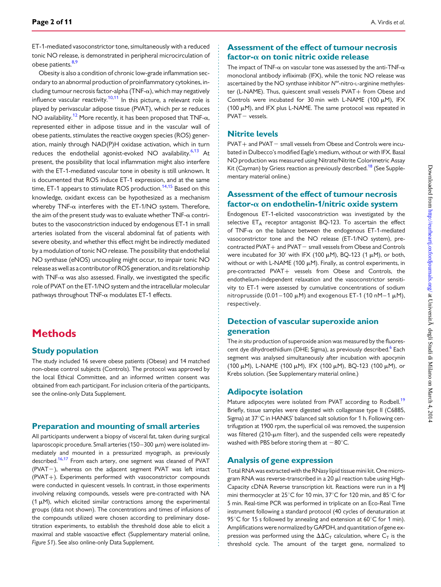ET-1-mediated vasoconstrictor tone, simultaneously with a reduced tonic NO release, is demonstrated in peripheral microcirculation of obese patients.<sup>[8](#page-9-0),[9](#page-9-0)</sup>

Obesity is also a condition of chronic low-grade inflammation secondary to an abnormal production of proinflammatory cytokines, including tumour necrosis factor-alpha (TNF- $\alpha$ ), which may negatively influence vascular reactivity.<sup>[10](#page-9-0),[11](#page-9-0)</sup> In this picture, a relevant role is played by perivascular adipose tissue (PVAT), which per se reduces NO availability.<sup>12</sup> More recently, it has been proposed that TNF- $\alpha$ , represented either in adipose tissue and in the vascular wall of obese patients, stimulates the reactive oxygen species (ROS) generation, mainly through NAD(P)H oxidase activation, which in turn reduces the endothelial agonist-evoked NO availability.<sup>[6,13](#page-9-0)</sup> At present, the possibility that local inflammation might also interfere with the ET-1-mediated vascular tone in obesity is still unknown. It is documented that ROS induce ET-1 expression, and at the same time, ET-1 appears to stimulate ROS production.<sup>[14](#page-10-0),[15](#page-10-0)</sup> Based on this knowledge, oxidant excess can be hypothesized as a mechanism whereby TNF- $\alpha$  interferes with the ET-1/NO system. Therefore, the aim of the present study was to evaluate whether  $TNF-\alpha$  contributes to the vasoconstriction induced by endogenous ET-1 in small arteries isolated from the visceral abdominal fat of patients with severe obesity, and whether this effect might be indirectly mediated by a modulation of tonic NO release. The possibility that endothelial NO synthase (eNOS) uncoupling might occur, to impair tonic NO release as well as a contributor of ROS generation, and its relationship with  $TNF-\alpha$  was also assessed. Finally, we investigated the specific role of PVAT on the ET-1/NO system and the intracellular molecular pathways throughout  $TNF-\alpha$  modulates ET-1 effects.

# **Methods**

#### Study population

The study included 16 severe obese patients (Obese) and 14 matched non-obese control subjects (Controls). The protocol was approved by the local Ethical Committee, and an informed written consent was obtained from each participant. For inclusion criteria of the participants, see the online-only Data Supplement.

#### Preparation and mounting of small arteries

All participants underwent a biopsy of visceral fat, taken during surgical laparoscopic procedure. Small arteries (150-300 µm) were isolated immediately and mounted in a pressurized myograph, as previously described.<sup>[16](#page-10-0),[17](#page-10-0)</sup> From each artery, one segment was cleaned of PVAT  $(PVAT-)$ , whereas on the adjacent segment PVAT was left intact (PVAT+). Experiments performed with vasoconstrictor compounds were conducted in quiescent vessels. In contrast, in those experiments involving relaxing compounds, vessels were pre-contracted with NA (1  $\mu$ M), which elicited similar contractions among the experimental groups (data not shown). The concentrations and times of infusions of the compounds utilized were chosen according to preliminary dosetitration experiments, to establish the threshold dose able to elicit a maximal and stable vasoactive effect [\(Supplementary material online,](http://eurheartj.oxfordjournals.org/lookup/suppl/doi:10.1093/eurheartj/ehu072/-/DC1) [Figure S1](http://eurheartj.oxfordjournals.org/lookup/suppl/doi:10.1093/eurheartj/ehu072/-/DC1)). See also online-only Data Supplement.

#### Assessment of the effect of tumour necrosis factor- $\alpha$  on tonic nitric oxide release

The impact of TNF- $\alpha$  on vascular tone was assessed by the anti-TNF- $\alpha$ monoclonal antibody infliximab (IFX), while the tonic NO release was ascertained by the NO synthase inhibitor  $N^{\omega}$ -nitro-L-arginine methylester (L-NAME). Thus, quiescent small vessels PVAT+ from Obese and Controls were incubated for 30 min with L-NAME (100  $\mu$ M), IFX (100  $\mu$ M), and IFX plus L-NAME. The same protocol was repeated in  $PVAT - vessels$ .

#### Nitrite levels

 $PVAT+$  and  $PVAT-$  small vessels from Obese and Controls were incubated in Dulbecco's modified Eagle's medium, without or with IFX. Basal NO production was measured using Nitrate/Nitrite Colorimetric Assay Kit (Cayman) by Griess reaction as previously described.<sup>[18](#page-10-0)</sup> (See [Supple](http://eurheartj.oxfordjournals.org/lookup/suppl/doi:10.1093/eurheartj/ehu072/-/DC1)[mentary material online.](http://eurheartj.oxfordjournals.org/lookup/suppl/doi:10.1093/eurheartj/ehu072/-/DC1))

#### Assessment of the effect of tumour necrosis factor- $\alpha$  on endothelin-1/nitric oxide system

Endogenous ET-1-elicited vasoconstriction was investigated by the selective  $ET_A$  receptor antagonist BQ-123. To ascertain the effect of TNF- $\alpha$  on the balance between the endogenous ET-1-mediated vasoconstrictor tone and the NO release (ET-1/NO system), pre $control$  PVAT  $+$  and PVAT $-$  small vessels from Obese and Controls were incubated for 30' with IFX (100  $\mu$ M), BQ-123 (1  $\mu$ M), or both, without or with L-NAME (100  $\mu$ M). Finally, as control experiments, in pre-contracted PVAT+ vessels from Obese and Controls, the endothelium-independent relaxation and the vasoconstrictor sensitivity to ET-1 were assessed by cumulative concentrations of sodium nitroprusside (0.01–100  $\mu$ M) and exogenous ET-1 (10 nM-1  $\mu$ M), respectively.

#### Detection of vascular superoxide anion generation

The in situ production of superoxide anion was measured by the fluores-cent dye dihydroethidium (DHE; Sigma), as previously described.<sup>[6](#page-9-0)</sup> Each segment was analysed simultaneously after incubation with apocynin (100 μM), L-NAME (100 μM), IFX (100 μM), BQ-123 (100 μM), or Krebs solution. (See [Supplementary material online](http://eurheartj.oxfordjournals.org/lookup/suppl/doi:10.1093/eurheartj/ehu072/-/DC1).)

#### Adipocyte isolation

Mature adipocytes were isolated from PVAT according to Rodbell.<sup>[19](#page-10-0)</sup> Briefly, tissue samples were digested with collagenase type II (C6885, Sigma) at 37°C in HANKS' balanced salt solution for 1 h. Following centrifugation at 1900 rpm, the superficial oil was removed, the suspension was filtered (210-µm filter), and the suspended cells were repeatedly washed with PBS before storing them at  $-80^{\circ}$ C.

#### Analysis of gene expression

Total RNA was extracted with the RNasy lipid tissue mini kit. One microgram RNA was reverse-transcribed in a 20  $\mu$ l reaction tube using High-Capacity cDNA Reverse transcription kit. Reactions were run in a MJ mini thermocycler at  $25^{\circ}$ C for 10 min,  $37^{\circ}$ C for 120 min, and  $85^{\circ}$ C for 5 min. Real-time PCR was performed in triplicate on an Eco-Real Time instrument following a standard protocol (40 cycles of denaturation at 95°C for 15 s followed by annealing and extension at 60°C for 1 min). Amplifications were normalized by GAPDH, and quantitation of gene expression was performed using the  $\Delta\Delta C_T$  calculation, where  $C_T$  is the threshold cycle. The amount of the target gene, normalized to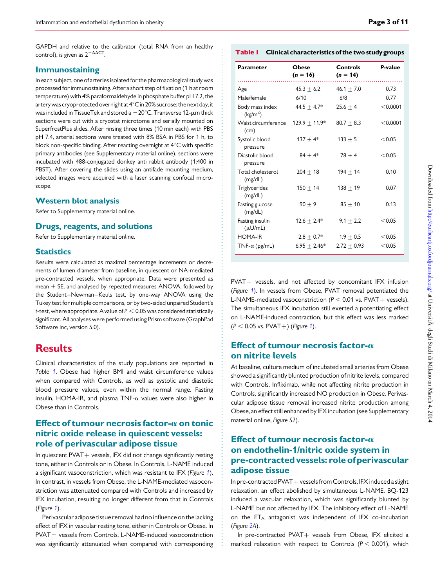GAPDH and relative to the calibrator (total RNA from an healthy control), is given as  $2^{-\Delta\Delta CT}$ .

#### Immunostaining

In each subject, one of arteries isolated for the pharmacological study was processed for immunostaining. After a short step of fixation (1 h at room temperature) with 4% paraformaldehyde in phosphate buffer pH 7.2, the artery was cryoprotected overnight at  $4^{\circ}$ C in 20% sucrose; the next day, it was included in TissueTek and stored a  $-20^{\circ}$ C. Transverse 12- $\mu$ m thick sections were cut with a cryostat microtome and serially mounted on SuperfrostPlus slides. After rinsing three times (10 min each) with PBS pH 7.4, arterial sections were treated with 8% BSA in PBS for 1 h, to block non-specific binding. After reacting overnight at  $4^{\circ}$ C with specific primary antibodies (see [Supplementary material online\)](http://eurheartj.oxfordjournals.org/lookup/suppl/doi:10.1093/eurheartj/ehu072/-/DC1), sections were incubated with 488-conjugated donkey anti rabbit antibody (1:400 in PBST). After covering the slides using an antifade mounting medium, selected images were acquired with a laser scanning confocal microscope.

#### Western blot analysis

Refer to [Supplementary material online.](http://eurheartj.oxfordjournals.org/lookup/suppl/doi:10.1093/eurheartj/ehu072/-/DC1)

#### Drugs, reagents, and solutions

Refer to [Supplementary material online.](http://eurheartj.oxfordjournals.org/lookup/suppl/doi:10.1093/eurheartj/ehu072/-/DC1)

#### **Statistics**

Results were calculated as maximal percentage increments or decrements of lumen diameter from baseline, in quiescent or NA-mediated pre-contracted vessels, when appropriate. Data were presented as mean  $\pm$  SE, and analysed by repeated measures ANOVA, followed by the Student-Newman-Keuls test, by one-way ANOVA using the Tukey test for multiple comparisons, or by two-sided unpaired Student's t-test, where appropriate. A value of  $P < 0.05$  was considered statistically significant. All analyses were performed using Prism software (GraphPad Software Inc, version 5.0).

# **Results**

Clinical characteristics of the study populations are reported in Table 1. Obese had higher BMI and waist circumference values when compared with Controls, as well as systolic and diastolic blood pressure values, even within the normal range. Fasting insulin, HOMA-IR, and plasma TNF- $\alpha$  values were also higher in Obese than in Controls.

## Effect of tumour necrosis factor- $\alpha$  on tonic nitric oxide release in quiescent vessels: role of perivascular adipose tissue

In quiescent  $PVAT +$  vessels, IFX did not change significantly resting tone, either in Controls or in Obese. In Controls, L-NAME induced a significant vasoconstriction, which was resistant to IFX (Figure [1](#page-3-0)). In contrast, in vessels from Obese, the L-NAME-mediated vasoconstriction was attenuated compared with Controls and increased by IFX incubation, resulting no longer different from that in Controls (Figure [1](#page-3-0)).

Perivascular adipose tissue removal had no influence on the lacking effect of IFX in vascular resting tone, either in Controls or Obese. In PVAT - vessels from Controls, L-NAME-induced vasoconstriction was significantly attenuated when compared with corresponding

| Table I Clinical characteristics of the two study groups |  |
|----------------------------------------------------------|--|
|----------------------------------------------------------|--|

| Parameter                               | <b>Obese</b><br>$(n = 16)$ | Controls<br>$(n = 14)$ | P-value  |
|-----------------------------------------|----------------------------|------------------------|----------|
| Age                                     | $45.3 + 6.2$               | $46.1 + 7.0$           | 0.73     |
| Male/female                             | 6/10                       | 6/8                    | 0.77     |
| Body mass index<br>(kg/m <sup>2</sup> ) | $44.5 + 4.7*$              | $25.6 + 4$             | < 0.0001 |
| Waist circumference<br>(cm)             | $129.9 + 11.9*$            | $80.7 + 8.3$           | < 0.0001 |
| Systolic blood<br>pressure              | $137 + 4*$                 | $133 + 5$              | < 0.05   |
| Diastolic blood<br>pressure             | $84 + 4*$                  | $78 + 4$               | < 0.05   |
| Total cholesterol<br>(mg/dL)            | $204 + 18$                 | $194 + 14$             | 0.10     |
| Triglycerides<br>(mg/dL)                | $150 + 14$                 | $138 + 19$             | 0.07     |
| Fasting glucose<br>(mg/dL)              | $90 + 9$                   | $85 + 10$              | 0.13     |
| Fasting insulin<br>$(\mu U/mL)$         | $12.6 \pm 2.4*$            | $9.1 + 2.2$            | < 0.05   |
| HOMA-IR                                 | $2.8 + 0.7*$               | $1.9 + 0.5$            | < 0.05   |
| TNF- $\alpha$ (pg/mL)                   | $6.95 + 2.46*$             | $2.72 + 0.93$          | < 0.05   |

PVAT+ vessels, and not affected by concomitant IFX infusion (Figure [1](#page-3-0)). In vessels from Obese, PVAT removal potentiated the L-NAME-mediated vasoconstriction ( $P < 0.01$  vs. PVAT+ vessels). The simultaneous IFX incubation still exerted a potentiating effect on L-NAME-induced contraction, but this effect was less marked  $(P < 0.05$  vs. PVAT+) (Figure [1](#page-3-0)).

## Effect of tumour necrosis factor- $\alpha$ on nitrite levels

At baseline, culture medium of incubated small arteries from Obese showed a significantly blunted production of nitrite levels, compared with Controls. Infliximab, while not affecting nitrite production in Controls, significantly increased NO production in Obese. Perivascular adipose tissue removal increased nitrite production among Obese, an effect still enhanced by IFX incubation (see [Supplementary](http://eurheartj.oxfordjournals.org/lookup/suppl/doi:10.1093/eurheartj/ehu072/-/DC1) [material online,](http://eurheartj.oxfordjournals.org/lookup/suppl/doi:10.1093/eurheartj/ehu072/-/DC1) Figure S2).

## Effect of tumour necrosis factor- $\alpha$ on endothelin-1/nitric oxide system in pre-contracted vessels: role of perivascular adipose tissue

In pre-contracted PVAT + vessels from Controls, IFX induced a slight relaxation, an effect abolished by simultaneous L-NAME. BQ-123 induced a vascular relaxation, which was significantly blunted by L-NAME but not affected by IFX. The inhibitory effect of L-NAME on the  $ET_A$  antagonist was independent of IFX co-incubation (Figure [2A](#page-3-0)).

In pre-contracted PVAT+ vessels from Obese, IFX elicited a marked relaxation with respect to Controls ( $P < 0.001$ ), which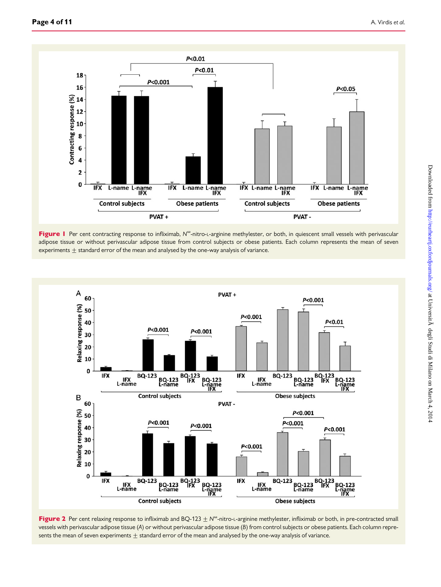<span id="page-3-0"></span>

Figure I Per cent contracting response to infliximab, N<sup>o</sup>-nitro-L-arginine methylester, or both, in quiescent small vessels with perivascular adipose tissue or without perivascular adipose tissue from control subjects or obese patients. Each column represents the mean of seven experiments  $\pm$  standard error of the mean and analysed by the one-way analysis of variance.



Figure 2 Per cent relaxing response to infliximab and BQ-123  $\pm$  N<sup>o</sup>-nitro-L-arginine methylester, infliximab or both, in pre-contracted small vessels with perivascular adipose tissue (A) or without perivascular adipose tissue (B) from control subjects or obese patients. Each column represents the mean of seven experiments  $\pm$  standard error of the mean and analysed by the one-way analysis of variance.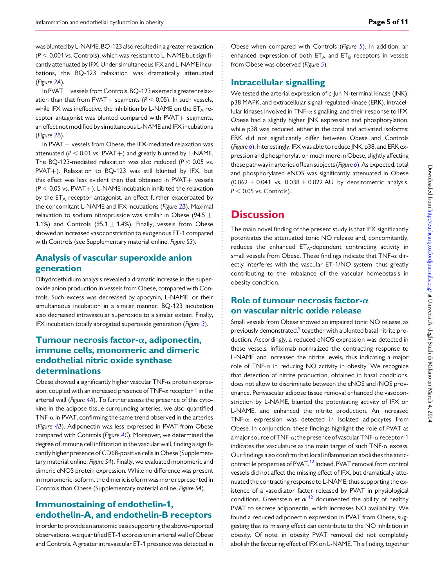was blunted by L-NAME. BQ-123 also resulted in a greater relaxation  $(P < 0.001$  vs. Controls), which was resistant to L-NAME but significantly attenuated by IFX. Under simultaneous IFX and L-NAME incubations, the BQ-123 relaxation was dramatically attenuated (Figure [2](#page-3-0)A).

In PVAT - vessels from Controls, BQ-123 exerted a greater relaxation than that from PVAT + segments ( $P < 0.05$ ). In such vessels, while IFX was ineffective, the inhibition by L-NAME on the  $ET_A$  receptor antagonist was blunted compared with  $PVAT +$  segments, an effect not modified by simultaneous L-NAME and IFX incubations (Figure [2](#page-3-0)B).

In PVAT $-$  vessels from Obese, the IFX-mediated relaxation was attenuated ( $P < 0.01$  vs. PVAT+) and greatly blunted by L-NAME. The BQ-123-mediated relaxation was also reduced ( $P < 0.05$  vs. PVAT+). Relaxation to BQ-123 was still blunted by IFX, but this effect was less evident than that obtained in  $PVAT + v$ essels  $(P < 0.05$  vs. PVAT+). L-NAME incubation inhibited the relaxation by the ET<sub>A</sub> receptor antagonist, an effect further exacerbated by the concomitant L-NAME and IFX incubations (Figure [2](#page-3-0)B). Maximal relaxation to sodium nitroprusside was similar in Obese (94.5 + 1.1%) and Controls (95.1  $\pm$  1.4%). Finally, vessels from Obese showed an increased vasoconstriction to exogenous ET-1 compared with Controls (see [Supplementary material online,](http://eurheartj.oxfordjournals.org/lookup/suppl/doi:10.1093/eurheartj/ehu072/-/DC1) Figure S3).

## Analysis of vascular superoxide anion generation

Dihydroethidium analysis revealed a dramatic increase in the superoxide anion production in vessels from Obese, compared with Controls. Such excess was decreased by apocynin, L-NAME, or their simultaneous incubation in a similar manner. BQ-123 incubation also decreased intravascular superoxide to a similar extent. Finally, IFX incubation totally abrogated superoxide generation (Figure [3](#page-5-0)).

## Tumour necrosis factor- $\alpha$ , adiponectin, immune cells, monomeric and dimeric endothelial nitric oxide synthase determinations

Obese showed a significantly higher vascular  $TNF-\alpha$  protein expression, coupled with an increased presence of  $TNF-\alpha$  receptor 1 in the arterial wall (Figure [4A](#page-6-0)). To further assess the presence of this cytokine in the adipose tissue surrounding arteries, we also quantified TNF- $\alpha$  in PVAT, confirming the same trend observed in the arteries (Figure [4B](#page-6-0)). Adiponectin was less expressed in PVAT from Obese compared with Controls (Figure [4](#page-6-0)C). Moreover, we determined the degree of immune cell infiltration in the vascular wall, finding a significantly higher presence of CD68-positive cells in Obese [\(Supplemen](http://eurheartj.oxfordjournals.org/lookup/suppl/doi:10.1093/eurheartj/ehu072/-/DC1)[tary material online,](http://eurheartj.oxfordjournals.org/lookup/suppl/doi:10.1093/eurheartj/ehu072/-/DC1) Figure S4). Finally, we evaluated monomeric and dimeric eNOS protein expression. While no difference was present in monomeric isoform, the dimeric isoform was more represented in Controls than Obese ([Supplementary material online,](http://eurheartj.oxfordjournals.org/lookup/suppl/doi:10.1093/eurheartj/ehu072/-/DC1) Figure S4).

## Immunostaining of endothelin-1, endothelin-A, and endothelin-B receptors

In order to provide an anatomic basis supporting the above-reported observations, we quantified ET-1 expression in arterial wall of Obese and Controls. A greater intravascular ET-1 presence was detected in

Obese when compared with Controls (Figure [5](#page-7-0)). In addition, an enhanced expression of both  $ET_A$  and  $ET_B$  receptors in vessels from Obese was observed (Figure [5](#page-7-0)).

## Intracellular signalling

We tested the arterial expression of c-Jun N-terminal kinase (JNK), p38 MAPK, and extracellular signal-regulated kinase (ERK), intracellular kinases involved in TNF- $\alpha$  signalling, and their response to IFX. Obese had a slightly higher JNK expression and phosphorylation, while p38 was reduced, either in the total and activated isoforms; ERK did not significantly differ between Obese and Controls (Figure  $6$ ). Interestingly, IFX was able to reduce JNK, p38, and ERK expression and phosphorylation much more in Obese, slightly affecting these pathway in arteries of lean subjects (Figure  $6$ ). As expected, total and phosphorylated eNOS was significantly attenuated in Obese  $(0.062 + 0.041$  vs.  $0.038 + 0.022$  AU by densitometric analysis,  $P < 0.05$  vs. Controls).

## **Discussion**

The main novel finding of the present study is that IFX significantly potentiates the attenuated tonic NO release and, concomitantly, reduces the enhanced  $ET_A$ -dependent contracting activity in small vessels from Obese. These findings indicate that  $TNF-\alpha$  directly interferes with the vascular ET-1/NO system, thus greatly contributing to the imbalance of the vascular homeostasis in obesity condition.

## Role of tumour necrosis factor- $\alpha$ on vascular nitric oxide release

Small vessels from Obese showed an impaired tonic NO release, as previously demonstrated,<sup>[9](#page-9-0)</sup> together with a blunted basal nitrite production. Accordingly, a reduced eNOS expression was detected in these vessels. Infliximab normalized the contracting response to L-NAME and increased the nitrite levels, thus indicating a major role of TNF- $\alpha$  in reducing NO activity in obesity. We recognize that detection of nitrite production, obtained in basal conditions, does not allow to discriminate between the eNOS and iNOS provenance. Perivascular adipose tissue removal enhanced the vasoconstriction by L-NAME, blunted the potentiating activity of IFX on L-NAME, and enhanced the nitrite production. An increased TNF- $\alpha$  expression was detected in isolated adipocytes from Obese. In conjunction, these findings highlight the role of PVAT as a major source of TNF- $\alpha$ ; the presence of vascular TNF- $\alpha$  receptor-1 indicates the vasculature as the main target of such  $TNF-\alpha$  excess. Our findings also confirm that local inflammation abolishes the antic-ontractile properties of PVAT.<sup>[12](#page-9-0)</sup> Indeed, PVAT removal from control vessels did not affect the missing effect of IFX, but dramatically attenuated the contracting response to L-NAME, thus supporting the existence of a vasodilator factor released by PVAT in physiological conditions. Greenstein et  $al$ .<sup>[12](#page-9-0)</sup> documented the ability of healthy PVAT to secrete adiponectin, which increases NO availability. We found a reduced adiponectin expression in PVAT from Obese, suggesting that its missing effect can contribute to the NO inhibition in obesity. Of note, in obesity PVAT removal did not completely abolish the favouring effect of IFX on L-NAME. This finding, together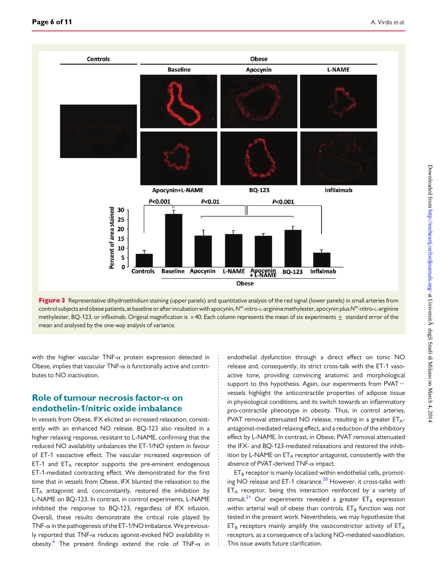<span id="page-5-0"></span>

Figure 3 Representative dihydroethidium staining (upper panels) and quantitative analysis of the red signal (lower panels) in small arteries from control subjects and obese patients, at baseline or after incubation with apocynin, N<sup>oo</sup>-nitro-L-arginine methylester, apocynin plus N<sup>oo</sup>-nitro-L-arginine methylester, BQ-123, or infliximab. Original magnification is  $\times$  40. Each column represents the mean of six experiments  $\pm$  standard error of the mean and analysed by the one-way analysis of variance.

with the higher vascular TNF- $\alpha$  protein expression detected in Obese, implies that vascular  $TNF-\alpha$  is functionally active and contributes to NO inactivation.

### Role of tumour necrosis factor- $\alpha$  on endothelin-1/nitric oxide imbalance

In vessels from Obese, IFX elicited an increased relaxation, consistently with an enhanced NO release. BQ-123 also resulted in a higher relaxing response, resistant to L-NAME, confirming that the reduced NO availability unbalances the ET-1/NO system in favour of ET-1 vasoactive effect. The vascular increased expression of ET-1 and  $ET_A$  receptor supports the pre-eminent endogenous ET-1-mediated contracting effect. We demonstrated for the first time that in vessels from Obese, IFX blunted the relaxation to the  $ET_A$  antagonist and, concomitantly, restored the inhibition by L-NAME on BQ-123. In contrast, in control experiments, L-NAME inhibited the response to BQ-123, regardless of IFX infusion. Overall, these results demonstrate the critical role played by TNF- $\alpha$  in the pathogenesis of the ET-1/NO imbalance. We previously reported that TNF- $\alpha$  reduces agonist-evoked NO availability in obesity.<sup>[6](#page-9-0)</sup> The present findings extend the role of TNF- $\alpha$  in

endothelial dysfunction through a direct effect on tonic NO release and, consequently, its strict cross-talk with the ET-1 vasoactive tone, providing convincing anatomic and morphological support to this hypothesis. Again, our experiments from  $PVAT$ vessels highlight the anticontractile properties of adipose tissue in physiological conditions, and its switch towards an inflammatory pro-contractile phenotype in obesity. Thus, in control arteries, PVAT removal attenuated NO release, resulting in a greater  $ET_{A}$ antagonist-mediated relaxing effect, and a reduction of the inhibitory effect by L-NAME. In contrast, in Obese, PVAT removal attenuated the IFX- and BQ-123-mediated relaxations and restored the inhibition by L-NAME on  $ET_A$  receptor antagonist, consistently with the absence of PVAT-derived TNF- $\alpha$  impact.

 $ET_B$  receptor is mainly localized within endothelial cells, promot-ing NO release and ET-1 clearance.<sup>[20](#page-10-0)</sup> However, it cross-talks with  $ET_A$  receptor, being this interaction reinforced by a variety of stimuli.<sup>[21](#page-10-0)</sup> Our experiments revealed a greater  $ET_B$  expression within arterial wall of obese than controls.  $ET_B$  function was not tested in the present work. Nevertheless, we may hypothesize that  $ET_B$  receptors mainly amplify the vasoconstrictor activity of  $ET_A$ receptors, as a consequence of a lacking NO-mediated vasodilation. This issue awaits future clarification.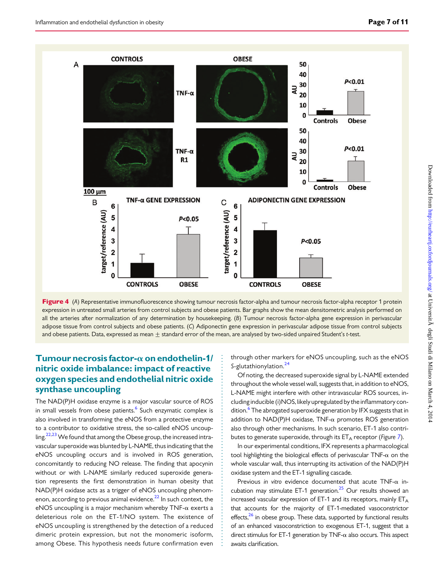<span id="page-6-0"></span>

Figure 4 (A) Representative immunofluorescence showing tumour necrosis factor-alpha and tumour necrosis factor-alpha receptor 1 protein expression in untreated small arteries from control subjects and obese patients. Bar graphs show the mean densitometric analysis performed on all the arteries after normalization of any determination by housekeeping. (B) Tumour necrosis factor-alpha gene expression in perivascular adipose tissue from control subjects and obese patients. (C) Adiponectin gene expression in perivascular adipose tissue from control subjects and obese patients. Data, expressed as mean  $\pm$  standard error of the mean, are analysed by two-sided unpaired Student's t-test.

## Tumour necrosis factor- $\alpha$  on endothelin-1/ nitric oxide imbalance: impact of reactive oxygen species and endothelial nitric oxide synthase uncoupling

The NAD(P)H oxidase enzyme is a major vascular source of ROS in small vessels from obese patients.<sup>6</sup> Such enzymatic complex is also involved in transforming the eNOS from a protective enzyme to a contributor to oxidative stress, the so-called eNOS uncoup-ling.<sup>[22,23](#page-10-0)</sup> We found that among the Obese group, the increased intravascular superoxide was blunted by L-NAME, thus indicating that the eNOS uncoupling occurs and is involved in ROS generation, concomitantly to reducing NO release. The finding that apocynin without or with L-NAME similarly reduced superoxide generation represents the first demonstration in human obesity that NAD(P)H oxidase acts as a trigger of eNOS uncoupling phenom-enon, according to previous animal evidence.<sup>[22](#page-10-0)</sup> In such context, the eNOS uncoupling is a major mechanism whereby  $TNF-\alpha$  exerts a deleterious role on the ET-1/NO system. The existence of eNOS uncoupling is strengthened by the detection of a reduced dimeric protein expression, but not the monomeric isoform, among Obese. This hypothesis needs future confirmation even through other markers for eNOS uncoupling, such as the eNOS S-glutathionylation.<sup>[24](#page-10-0)</sup>

Of noting, the decreased superoxide signal by L-NAME extended throughout the whole vessel wall, suggests that, in addition to eNOS, L-NAME might interfere with other intravascular ROS sources, including inducible (i)NOS, likely upregulated by the inflammatory con-dition.<sup>[6](#page-9-0)</sup> The abrogated superoxide generation by IFX suggests that in addition to  $NAD(P)H$  oxidase,  $TNF-\alpha$  promotes ROS generation also through other mechanisms. In such scenario, ET-1 also contributes to generate superoxide, through its  $ET_A$  receptor (Figure [7](#page-9-0)).

In our experimental conditions, IFX represents a pharmacological tool highlighting the biological effects of perivascular  $TNF-\alpha$  on the whole vascular wall, thus interrupting its activation of the NAD(P)H oxidase system and the ET-1 signalling cascade.

Previous in vitro evidence documented that acute  $TNF-\alpha$  incubation may stimulate ET-1 generation. $25$  Our results showed an increased vascular expression of ET-1 and its receptors, mainly  $ET_A$ that accounts for the majority of ET-1-mediated vasoconstrictor effects,<sup>[26](#page-10-0)</sup> in obese group. These data, supported by functional results of an enhanced vasoconstriction to exogenous ET-1, suggest that a direct stimulus for ET-1 generation by TNF- $\alpha$  also occurs. This aspect awaits clarification.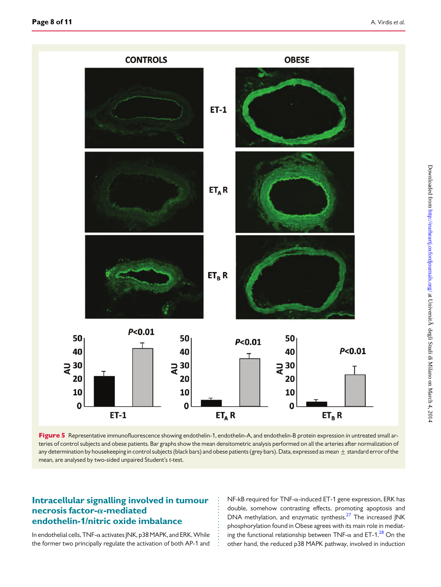<span id="page-7-0"></span>

Figure 5 Representative immunofluorescence showing endothelin-1, endothelin-A, and endothelin-B protein expression in untreated small arteries of control subjects and obese patients. Bar graphs show the mean densitometric analysis performed on all the arteries after normalization of any determination by housekeeping in control subjects (black bars) and obese patients (grey bars). Data, expressed as mean  $\pm$  standard error of the mean, are analysed by two-sided unpaired Student's t-test.

## Intracellular signalling involved in tumour necrosis factor- $\alpha$ -mediated endothelin-1/nitric oxide imbalance

In endothelial cells,  $TNF$ - $\alpha$  activates JNK, p38 MAPK, and ERK. While the former two principally regulate the activation of both AP-1 and NF-kB required for TNF-a-induced ET-1 gene expression, ERK has double, somehow contrasting effects, promoting apoptosis and DNA methylation, and enzymatic synthesis.<sup>[27](#page-10-0)</sup> The increased JNK phosphorylation found in Obese agrees with its main role in mediating the functional relationship between TNF- $\alpha$  and ET-1.<sup>[28](#page-10-0)</sup> On the other hand, the reduced p38 MAPK pathway, involved in induction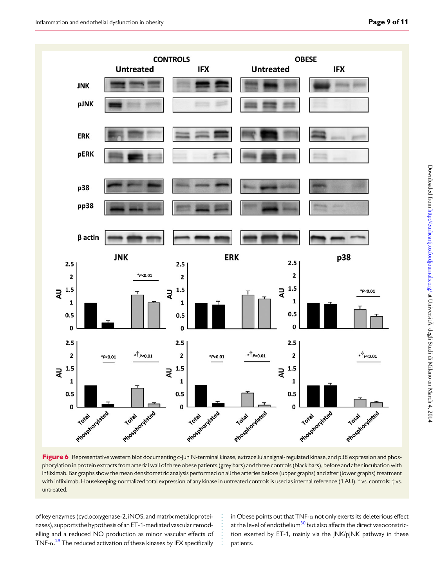<span id="page-8-0"></span>![](_page_8_Figure_1.jpeg)

Figure 6 Representative western blot documenting c-Jun N-terminal kinase, extracellular signal-regulated kinase, and p38 expression and phosphorylation in protein extracts from arterial wall of three obese patients (grey bars) and three controls (black bars), before and after incubation with infliximab. Bar graphs show the mean densitometric analysis performed on all the arteries before (upper graphs) and after (lower graphs) treatment with infliximab. Housekeeping-normalized total expression of any kinase in untreated controls is used as internal reference (1 AU). \* vs. controls; † vs. untreated.

of key enzymes (cyclooxygenase-2, iNOS, and matrix metalloproteinases), supports the hypothesis of an ET-1-mediated vascular remodelling and a reduced NO production as minor vascular effects of  $TNF-\alpha$ <sup>[29](#page-10-0)</sup> The reduced activation of these kinases by IFX specifically

in Obese points out that  $TNF-\alpha$  not only exerts its deleterious effect at the level of endothelium<sup>30</sup> but also affects the direct vasoconstriction exerted by ET-1, mainly via the JNK/pJNK pathway in these patients.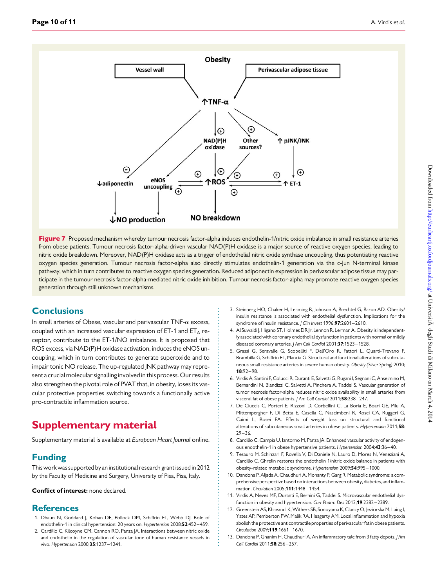<span id="page-9-0"></span>![](_page_9_Figure_2.jpeg)

Figure 7 Proposed mechanism whereby tumour necrosis factor-alpha induces endothelin-1/nitric oxide imbalance in small resistance arteries from obese patients. Tumour necrosis factor-alpha-driven vascular NAD(P)H oxidase is a major source of reactive oxygen species, leading to nitric oxide breakdown. Moreover, NAD(P)H oxidase acts as a trigger of endothelial nitric oxide synthase uncoupling, thus potentiating reactive oxygen species generation. Tumour necrosis factor-alpha also directly stimulates endothelin-1 generation via the c-Jun N-terminal kinase pathway, which in turn contributes to reactive oxygen species generation. Reduced adiponectin expression in perivascular adipose tissue may participate in the tumour necrosis factor-alpha-mediated nitric oxide inhibition. Tumour necrosis factor-alpha may promote reactive oxygen species generation through still unknown mechanisms.

# **Conclusions**

In small arteries of Obese, vascular and perivascular  $TNF-\alpha$  excess, coupled with an increased vascular expression of ET-1 and  $ET_A$  receptor, contribute to the ET-1/NO imbalance. It is proposed that ROS excess, via NAD(P)H oxidase activation, induces the eNOS uncoupling, which in turn contributes to generate superoxide and to impair tonic NO release. The up-regulated JNK pathway may represent a crucial molecular signalling involved in this process. Our results also strengthen the pivotal role of PVAT that, in obesity, loses its vascular protective properties switching towards a functionally active pro-contractile inflammation source.

# Supplementary material

[Supplementary material is available at](http://eurheartj.oxfordjournals.org/lookup/suppl/doi:10.1093/eurheartj/ehu072/-/DC1) European Heart Journal online.

# Funding

This work was supported by an institutional research grant issued in 2012 by the Faculty of Medicine and Surgery, University of Pisa, Pisa, Italy.

#### Conflict of interest: none declared.

## **References**

- 1. Dhaun N, Goddard J, Kohan DE, Pollock DM, Schiffrin EL, Webb DJ. Role of endothelin-1 in clinical hypertension: 20 years on. Hypertension 2008;52:452-459.
- 2. Cardillo C, Kilcoyne CM, Cannon RO, Panza JA. Interactions between nitric oxide and endothelin in the regulation of vascular tone of human resistance vessels in vivo. Hypertension 2000;35:1237 –1241.
- 3. Steinberg HO, Chaker H, Leaming R, Johnson A, Brechtel G, Baron AD. Obesity/ insulin resistance is associated with endothelial dysfunction. Implications for the syndrome of insulin resistance. J Clin Invest 1996;97:2601-2610.
- 4. Al Suwaidi J, Higano ST, Holmes DR Jr, Lennon R, Lerman A. Obesity is independently associated with coronary endothelial dysfunction in patients with normal or mildly diseased coronary arteries. J Am Coll Cardiol 2001;37:1523-1528.
- 5. Grassi G, Seravalle G, Scopelliti F, Dell'Oro R, Fattori L, Quarti-Trevano F, Brambilla G, Schiffrin EL, Mancia G. Structural and functional alterations of subcutaneous small resistance arteries in severe human obesity. Obesity (Silver Spring) 2010;  $18:92 - 98$
- 6. Virdis A, Santini F, Colucci R, Duranti E, Salvetti G, Rugani I, Segnani C, Anselmino M, Bernardini N, Blandizzi C, Salvetti A, Pinchera A, Taddei S. Vascular generation of tumor necrosis factor-alpha reduces nitric oxide availability in small arteries from visceral fat of obese patients. J Am Coll Cardiol 2011;58:238-247.
- 7. De Ciuceis C, Porteri E, Rizzoni D, Corbellini C, La Boria E, Boari GE, Pilu A, Mittempergher F, Di Betta E, Casella C, Nascimbeni R, Rosei CA, Ruggeri G, Caimi L, Rosei EA. Effects of weight loss on structural and functional alterations of subcutaneous small arteries in obese patients. Hypertension 2011;58:  $29 - 36$
- 8. Cardillo C, Campia U, Iantorno M, Panza JA. Enhanced vascular activity of endogenous endothelin-1 in obese hypertensive patients. Hypertension 2004;43:36 –40.
- 9. Tesauro M, Schinzari F, Rovella V, Di Daniele N, Lauro D, Mores N, Veneziani A, Cardillo C. Ghrelin restores the endothelin 1/nitric oxide balance in patients with obesity-related metabolic syndrome. Hypertension 2009;54:995 –1000.
- 10. Dandona P, Aljada A, Chaudhuri A, Mohanty P, Garg R. Metabolic syndrome: a comprehensive perspective based on interactions between obesity, diabetes, and inflammation. Circulation 2005;111:1448-1454.
- 11. Virdis A, Neves MF, Duranti E, Bernini G, Taddei S. Microvascular endothelial dysfunction in obesity and hypertension. Curr Pharm Des 2013;19:2382-2389.
- 12. Greenstein AS, Khavandi K, Withers SB, Sonoyama K, Clancy O, Jeziorska M, Laing I, Yates AP, Pemberton PW, Malik RA, Heagerty AM. Local inflammation and hypoxia abolish the protective anticontractile properties of perivascular fat in obese patients. Circulation 2009;119:1661-1670.
- 13. Dandona P, Ghanim H, Chaudhuri A. An inflammatory tale from 3 fatty depots. J Am Coll Cardiol 2011;58:256-257.